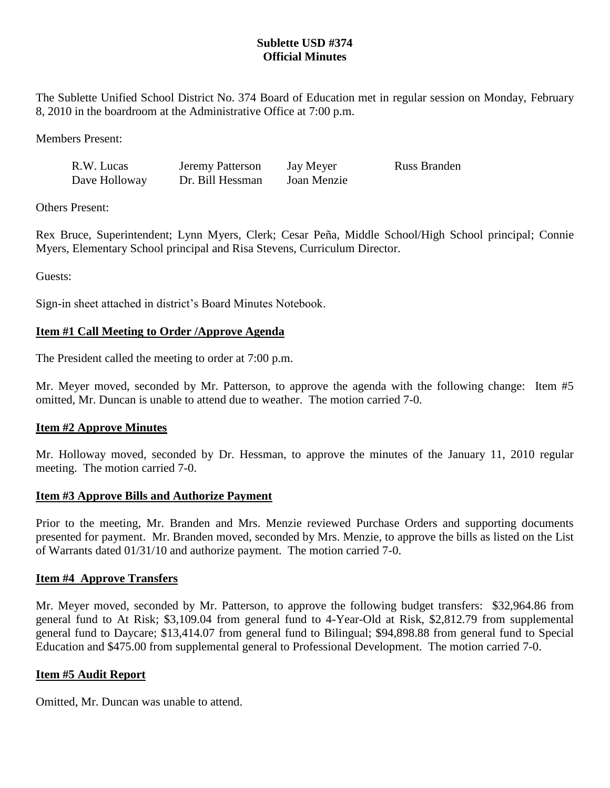# **Sublette USD #374 Official Minutes**

The Sublette Unified School District No. 374 Board of Education met in regular session on Monday, February 8, 2010 in the boardroom at the Administrative Office at 7:00 p.m.

Members Present:

| R.W. Lucas    | <b>Jeremy Patterson</b> | Jay Meyer   | <b>Russ Branden</b> |
|---------------|-------------------------|-------------|---------------------|
| Dave Holloway | Dr. Bill Hessman        | Joan Menzie |                     |

Others Present:

Rex Bruce, Superintendent; Lynn Myers, Clerk; Cesar Peña, Middle School/High School principal; Connie Myers, Elementary School principal and Risa Stevens, Curriculum Director.

Guests:

Sign-in sheet attached in district's Board Minutes Notebook.

## **Item #1 Call Meeting to Order /Approve Agenda**

The President called the meeting to order at 7:00 p.m.

Mr. Meyer moved, seconded by Mr. Patterson, to approve the agenda with the following change: Item #5 omitted, Mr. Duncan is unable to attend due to weather. The motion carried 7-0.

## **Item #2 Approve Minutes**

Mr. Holloway moved, seconded by Dr. Hessman, to approve the minutes of the January 11, 2010 regular meeting. The motion carried 7-0.

## **Item #3 Approve Bills and Authorize Payment**

Prior to the meeting, Mr. Branden and Mrs. Menzie reviewed Purchase Orders and supporting documents presented for payment. Mr. Branden moved, seconded by Mrs. Menzie, to approve the bills as listed on the List of Warrants dated 01/31/10 and authorize payment. The motion carried 7-0.

## **Item #4 Approve Transfers**

Mr. Meyer moved, seconded by Mr. Patterson, to approve the following budget transfers: \$32,964.86 from general fund to At Risk; \$3,109.04 from general fund to 4-Year-Old at Risk, \$2,812.79 from supplemental general fund to Daycare; \$13,414.07 from general fund to Bilingual; \$94,898.88 from general fund to Special Education and \$475.00 from supplemental general to Professional Development. The motion carried 7-0.

#### **Item #5 Audit Report**

Omitted, Mr. Duncan was unable to attend.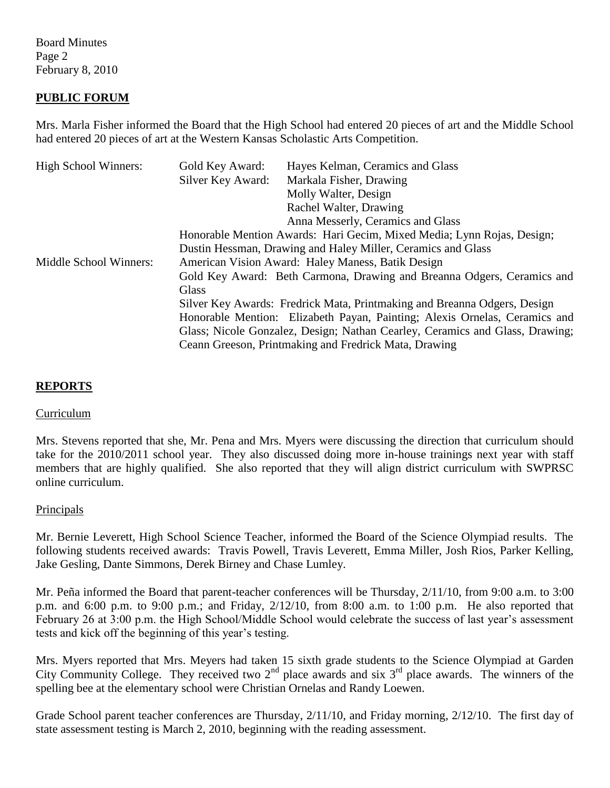Board Minutes Page 2 February 8, 2010

### **PUBLIC FORUM**

Mrs. Marla Fisher informed the Board that the High School had entered 20 pieces of art and the Middle School had entered 20 pieces of art at the Western Kansas Scholastic Arts Competition.

| <b>High School Winners:</b> | Gold Key Award:                                                              | Hayes Kelman, Ceramics and Glass                      |  |
|-----------------------------|------------------------------------------------------------------------------|-------------------------------------------------------|--|
|                             | Silver Key Award:                                                            | Markala Fisher, Drawing                               |  |
|                             |                                                                              | Molly Walter, Design                                  |  |
|                             |                                                                              | Rachel Walter, Drawing                                |  |
|                             |                                                                              | Anna Messerly, Ceramics and Glass                     |  |
|                             | Honorable Mention Awards: Hari Gecim, Mixed Media; Lynn Rojas, Design;       |                                                       |  |
|                             | Dustin Hessman, Drawing and Haley Miller, Ceramics and Glass                 |                                                       |  |
| Middle School Winners:      | American Vision Award: Haley Maness, Batik Design                            |                                                       |  |
|                             | Gold Key Award: Beth Carmona, Drawing and Breanna Odgers, Ceramics and       |                                                       |  |
|                             | Glass                                                                        |                                                       |  |
|                             | Silver Key Awards: Fredrick Mata, Printmaking and Breanna Odgers, Design     |                                                       |  |
|                             | Honorable Mention: Elizabeth Payan, Painting; Alexis Ornelas, Ceramics and   |                                                       |  |
|                             | Glass; Nicole Gonzalez, Design; Nathan Cearley, Ceramics and Glass, Drawing; |                                                       |  |
|                             |                                                                              | Ceann Greeson, Printmaking and Fredrick Mata, Drawing |  |

#### **REPORTS**

#### Curriculum

Mrs. Stevens reported that she, Mr. Pena and Mrs. Myers were discussing the direction that curriculum should take for the 2010/2011 school year. They also discussed doing more in-house trainings next year with staff members that are highly qualified. She also reported that they will align district curriculum with SWPRSC online curriculum.

#### Principals

Mr. Bernie Leverett, High School Science Teacher, informed the Board of the Science Olympiad results. The following students received awards: Travis Powell, Travis Leverett, Emma Miller, Josh Rios, Parker Kelling, Jake Gesling, Dante Simmons, Derek Birney and Chase Lumley.

Mr. Peña informed the Board that parent-teacher conferences will be Thursday, 2/11/10, from 9:00 a.m. to 3:00 p.m. and 6:00 p.m. to 9:00 p.m.; and Friday, 2/12/10, from 8:00 a.m. to 1:00 p.m. He also reported that February 26 at 3:00 p.m. the High School/Middle School would celebrate the success of last year's assessment tests and kick off the beginning of this year's testing.

Mrs. Myers reported that Mrs. Meyers had taken 15 sixth grade students to the Science Olympiad at Garden City Community College. They received two  $2<sup>nd</sup>$  place awards and six  $3<sup>rd</sup>$  place awards. The winners of the spelling bee at the elementary school were Christian Ornelas and Randy Loewen.

Grade School parent teacher conferences are Thursday, 2/11/10, and Friday morning, 2/12/10. The first day of state assessment testing is March 2, 2010, beginning with the reading assessment.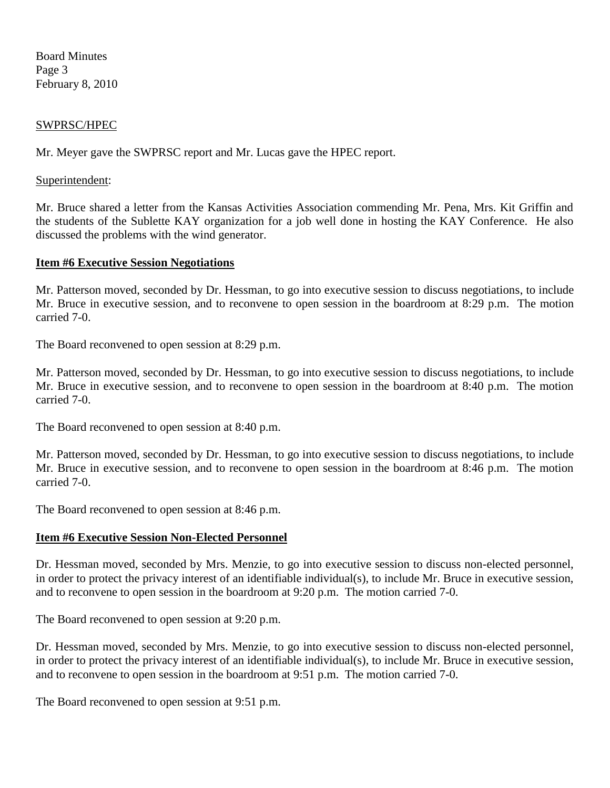Board Minutes Page 3 February 8, 2010

#### SWPRSC/HPEC

Mr. Meyer gave the SWPRSC report and Mr. Lucas gave the HPEC report.

#### Superintendent:

Mr. Bruce shared a letter from the Kansas Activities Association commending Mr. Pena, Mrs. Kit Griffin and the students of the Sublette KAY organization for a job well done in hosting the KAY Conference. He also discussed the problems with the wind generator.

#### **Item #6 Executive Session Negotiations**

Mr. Patterson moved, seconded by Dr. Hessman, to go into executive session to discuss negotiations, to include Mr. Bruce in executive session, and to reconvene to open session in the boardroom at 8:29 p.m. The motion carried 7-0.

The Board reconvened to open session at 8:29 p.m.

Mr. Patterson moved, seconded by Dr. Hessman, to go into executive session to discuss negotiations, to include Mr. Bruce in executive session, and to reconvene to open session in the boardroom at 8:40 p.m. The motion carried 7-0.

The Board reconvened to open session at 8:40 p.m.

Mr. Patterson moved, seconded by Dr. Hessman, to go into executive session to discuss negotiations, to include Mr. Bruce in executive session, and to reconvene to open session in the boardroom at 8:46 p.m. The motion carried 7-0.

The Board reconvened to open session at 8:46 p.m.

#### **Item #6 Executive Session Non-Elected Personnel**

Dr. Hessman moved, seconded by Mrs. Menzie, to go into executive session to discuss non-elected personnel, in order to protect the privacy interest of an identifiable individual(s), to include Mr. Bruce in executive session, and to reconvene to open session in the boardroom at 9:20 p.m. The motion carried 7-0.

The Board reconvened to open session at 9:20 p.m.

Dr. Hessman moved, seconded by Mrs. Menzie, to go into executive session to discuss non-elected personnel, in order to protect the privacy interest of an identifiable individual(s), to include Mr. Bruce in executive session, and to reconvene to open session in the boardroom at 9:51 p.m. The motion carried 7-0.

The Board reconvened to open session at 9:51 p.m.